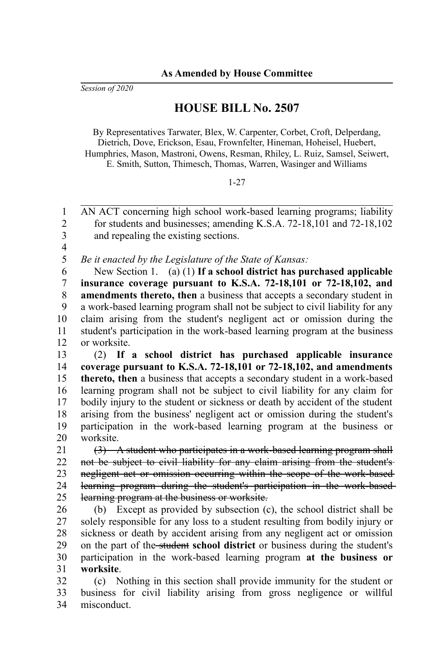*Session of 2020*

## **HOUSE BILL No. 2507**

By Representatives Tarwater, Blex, W. Carpenter, Corbet, Croft, Delperdang, Dietrich, Dove, Erickson, Esau, Frownfelter, Hineman, Hoheisel, Huebert, Humphries, Mason, Mastroni, Owens, Resman, Rhiley, L. Ruiz, Samsel, Seiwert, E. Smith, Sutton, Thimesch, Thomas, Warren, Wasinger and Williams

## 1-27

AN ACT concerning high school work-based learning programs; liability for students and businesses; amending K.S.A. 72-18,101 and 72-18,102 and repealing the existing sections. 1  $\mathfrak{D}$ 3

4 5

*Be it enacted by the Legislature of the State of Kansas:*

New Section 1. (a) (1) **If a school district has purchased applicable insurance coverage pursuant to K.S.A. 72-18,101 or 72-18,102, and amendments thereto, then** a business that accepts a secondary student in a work-based learning program shall not be subject to civil liability for any claim arising from the student's negligent act or omission during the student's participation in the work-based learning program at the business or worksite. 6 7 8 9 10 11 12

(2) **If a school district has purchased applicable insurance coverage pursuant to K.S.A. 72-18,101 or 72-18,102, and amendments thereto, then** a business that accepts a secondary student in a work-based learning program shall not be subject to civil liability for any claim for bodily injury to the student or sickness or death by accident of the student arising from the business' negligent act or omission during the student's participation in the work-based learning program at the business or worksite. 13 14 15 16 17 18 19 20

(3) A student who participates in a work-based learning program shall not be subject to civil liability for any claim arising from the student's negligent act or omission occurring within the scope of the work-based learning program during the student's participation in the work-based learning program at the business or worksite. 21 22 23 24 25

(b) Except as provided by subsection (c), the school district shall be solely responsible for any loss to a student resulting from bodily injury or sickness or death by accident arising from any negligent act or omission on the part of the student **school district** or business during the student's participation in the work-based learning program **at the business or worksite**. 26 27 28 29 30 31

(c) Nothing in this section shall provide immunity for the student or business for civil liability arising from gross negligence or willful misconduct. 32 33 34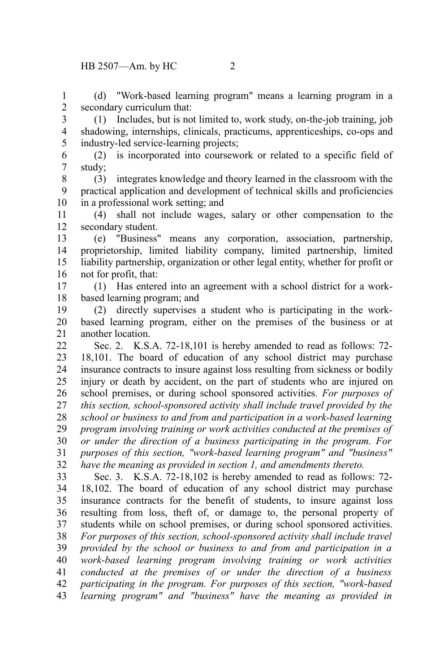(d) "Work-based learning program" means a learning program in a secondary curriculum that: 1 2

(1) Includes, but is not limited to, work study, on-the-job training, job shadowing, internships, clinicals, practicums, apprenticeships, co-ops and industry-led service-learning projects; 3 4 5

(2) is incorporated into coursework or related to a specific field of study; 6 7

(3) integrates knowledge and theory learned in the classroom with the practical application and development of technical skills and proficiencies in a professional work setting; and 8 9 10

(4) shall not include wages, salary or other compensation to the secondary student. 11 12

(e) "Business" means any corporation, association, partnership, proprietorship, limited liability company, limited partnership, limited liability partnership, organization or other legal entity, whether for profit or not for profit, that: 13 14 15 16

(1) Has entered into an agreement with a school district for a workbased learning program; and 17 18

(2) directly supervises a student who is participating in the workbased learning program, either on the premises of the business or at another location. 19 20 21

Sec. 2. K.S.A. 72-18,101 is hereby amended to read as follows: 72- 18,101. The board of education of any school district may purchase insurance contracts to insure against loss resulting from sickness or bodily injury or death by accident, on the part of students who are injured on school premises, or during school sponsored activities. *For purposes of this section, school-sponsored activity shall include travel provided by the school or business to and from and participation in a work-based learning program involving training or work activities conducted at the premises of or under the direction of a business participating in the program. For purposes of this section, "work-based learning program" and "business" have the meaning as provided in section 1, and amendments thereto.*  $22$ 23 24 25 26 27 28 29 30 31 32

Sec. 3. K.S.A. 72-18,102 is hereby amended to read as follows: 72- 18,102. The board of education of any school district may purchase insurance contracts for the benefit of students, to insure against loss resulting from loss, theft of, or damage to, the personal property of students while on school premises, or during school sponsored activities. *For purposes of this section, school-sponsored activity shall include travel provided by the school or business to and from and participation in a work-based learning program involving training or work activities conducted at the premises of or under the direction of a business participating in the program. For purposes of this section, "work-based learning program" and "business" have the meaning as provided in* 33 34 35 36 37 38 39 40 41 42 43